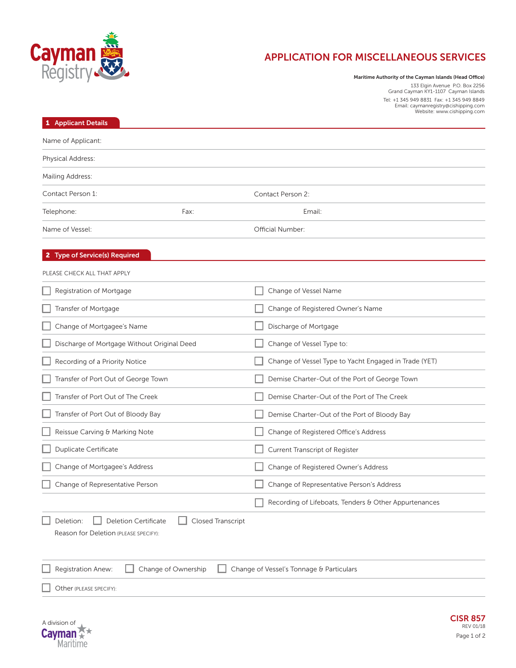

## **APPLICATION FOR MISCELLANEOUS SERVICES**

**Maritime Authority of the Cayman Islands (Head Office)**

133 Elgin Avenue P.O. Box 2256 Grand Cayman KY1-1107 Cayman Islands Tel: +1 345 949 8831 Fax: +1 345 949 8849 Email: caymanregistry@cishipping.com Website: www.cishipping.com

| <b>Applicant Details</b>                                                              |                          |                                                       |  |
|---------------------------------------------------------------------------------------|--------------------------|-------------------------------------------------------|--|
| Name of Applicant:                                                                    |                          |                                                       |  |
| Physical Address:                                                                     |                          |                                                       |  |
| Mailing Address:                                                                      |                          |                                                       |  |
| Contact Person 1:                                                                     |                          | Contact Person 2:                                     |  |
| Telephone:                                                                            | Fax:                     | Email:                                                |  |
| Name of Vessel:                                                                       |                          | Official Number:                                      |  |
| <b>Type of Service(s) Required</b>                                                    |                          |                                                       |  |
| PLEASE CHECK ALL THAT APPLY                                                           |                          |                                                       |  |
| Registration of Mortgage                                                              |                          | Change of Vessel Name                                 |  |
| Transfer of Mortgage                                                                  |                          | Change of Registered Owner's Name                     |  |
| Change of Mortgagee's Name                                                            |                          | Discharge of Mortgage                                 |  |
| Discharge of Mortgage Without Original Deed                                           |                          | Change of Vessel Type to:                             |  |
| Recording of a Priority Notice                                                        |                          | Change of Vessel Type to Yacht Engaged in Trade (YET) |  |
| Transfer of Port Out of George Town                                                   |                          | Demise Charter-Out of the Port of George Town         |  |
| Transfer of Port Out of The Creek                                                     |                          | Demise Charter-Out of the Port of The Creek           |  |
| Transfer of Port Out of Bloody Bay                                                    |                          | Demise Charter-Out of the Port of Bloody Bay          |  |
| Reissue Carving & Marking Note                                                        |                          | Change of Registered Office's Address                 |  |
| Duplicate Certificate                                                                 |                          | Current Transcript of Register                        |  |
| Change of Mortgagee's Address                                                         |                          | Change of Registered Owner's Address                  |  |
| Change of Representative Person                                                       |                          | Change of Representative Person's Address             |  |
|                                                                                       |                          | Recording of Lifeboats, Tenders & Other Appurtenances |  |
| Deletion:<br><b>Deletion Certificate</b>                                              | <b>Closed Transcript</b> |                                                       |  |
| Reason for Deletion (PLEASE SPECIFY):                                                 |                          |                                                       |  |
|                                                                                       |                          |                                                       |  |
| Registration Anew:<br>Change of Ownership<br>Change of Vessel's Tonnage & Particulars |                          |                                                       |  |
| Other (PLEASE SPECIFY):                                                               |                          |                                                       |  |
|                                                                                       |                          |                                                       |  |